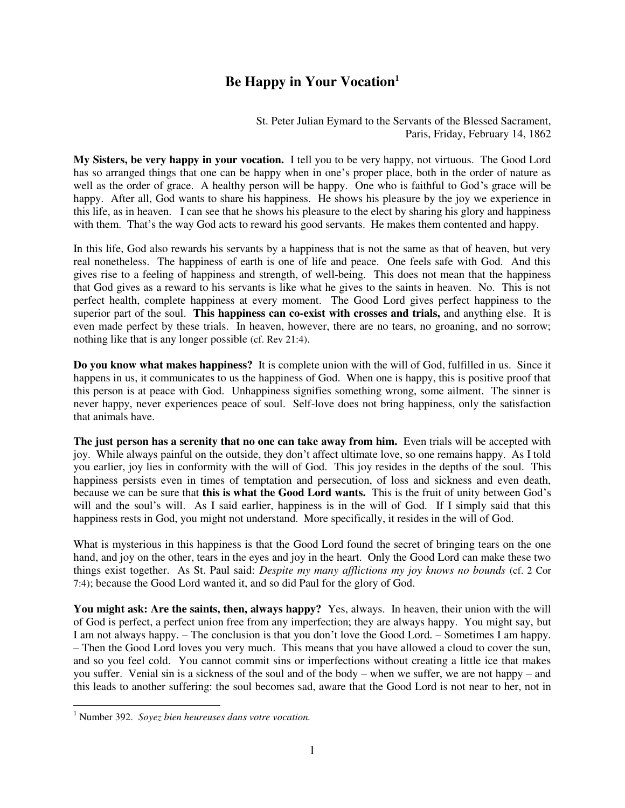## **Be Happy in Your Vocation<sup>1</sup>**

St. Peter Julian Eymard to the Servants of the Blessed Sacrament, Paris, Friday, February 14, 1862

**My Sisters, be very happy in your vocation.** I tell you to be very happy, not virtuous. The Good Lord has so arranged things that one can be happy when in one's proper place, both in the order of nature as well as the order of grace. A healthy person will be happy. One who is faithful to God's grace will be happy. After all, God wants to share his happiness. He shows his pleasure by the joy we experience in this life, as in heaven. I can see that he shows his pleasure to the elect by sharing his glory and happiness with them. That's the way God acts to reward his good servants. He makes them contented and happy.

In this life, God also rewards his servants by a happiness that is not the same as that of heaven, but very real nonetheless. The happiness of earth is one of life and peace. One feels safe with God. And this gives rise to a feeling of happiness and strength, of well-being. This does not mean that the happiness that God gives as a reward to his servants is like what he gives to the saints in heaven. No. This is not perfect health, complete happiness at every moment. The Good Lord gives perfect happiness to the superior part of the soul. **This happiness can co-exist with crosses and trials,** and anything else. It is even made perfect by these trials. In heaven, however, there are no tears, no groaning, and no sorrow; nothing like that is any longer possible (cf. Rev 21:4).

**Do you know what makes happiness?** It is complete union with the will of God, fulfilled in us. Since it happens in us, it communicates to us the happiness of God. When one is happy, this is positive proof that this person is at peace with God. Unhappiness signifies something wrong, some ailment. The sinner is never happy, never experiences peace of soul. Self-love does not bring happiness, only the satisfaction that animals have.

**The just person has a serenity that no one can take away from him.** Even trials will be accepted with joy. While always painful on the outside, they don't affect ultimate love, so one remains happy. As I told you earlier, joy lies in conformity with the will of God. This joy resides in the depths of the soul. This happiness persists even in times of temptation and persecution, of loss and sickness and even death, because we can be sure that **this is what the Good Lord wants.** This is the fruit of unity between God's will and the soul's will. As I said earlier, happiness is in the will of God. If I simply said that this happiness rests in God, you might not understand. More specifically, it resides in the will of God.

What is mysterious in this happiness is that the Good Lord found the secret of bringing tears on the one hand, and joy on the other, tears in the eyes and joy in the heart. Only the Good Lord can make these two things exist together. As St. Paul said: *Despite my many afflictions my joy knows no bounds* (cf. 2 Cor 7:4); because the Good Lord wanted it, and so did Paul for the glory of God.

**You might ask: Are the saints, then, always happy?** Yes, always. In heaven, their union with the will of God is perfect, a perfect union free from any imperfection; they are always happy. You might say, but I am not always happy. – The conclusion is that you don't love the Good Lord. – Sometimes I am happy. – Then the Good Lord loves you very much. This means that you have allowed a cloud to cover the sun, and so you feel cold. You cannot commit sins or imperfections without creating a little ice that makes you suffer. Venial sin is a sickness of the soul and of the body – when we suffer, we are not happy – and this leads to another suffering: the soul becomes sad, aware that the Good Lord is not near to her, not in

 1 Number 392. *Soyez bien heureuses dans votre vocation.*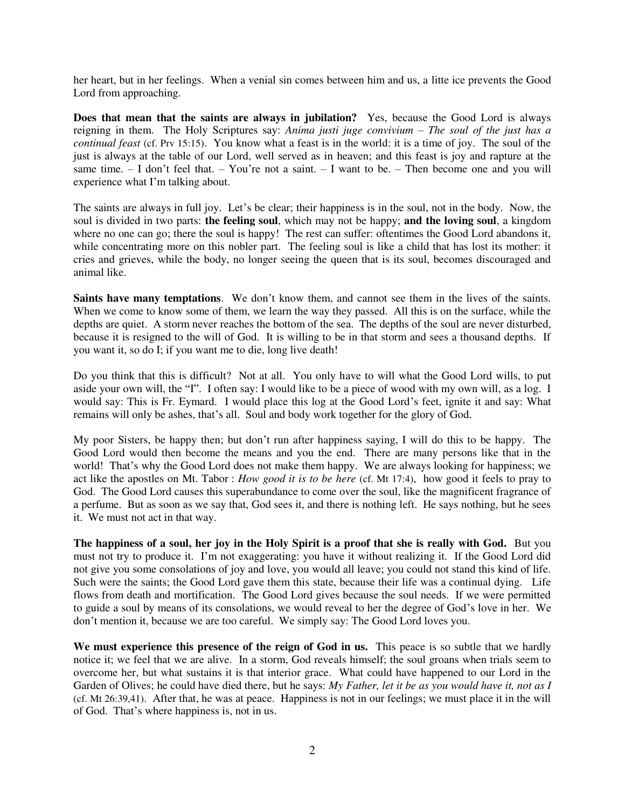her heart, but in her feelings. When a venial sin comes between him and us, a litte ice prevents the Good Lord from approaching.

**Does that mean that the saints are always in jubilation?** Yes, because the Good Lord is always reigning in them. The Holy Scriptures say: *Anima justi juge convivium – The soul of the just has a continual feast* (cf. Prv 15:15). You know what a feast is in the world: it is a time of joy. The soul of the just is always at the table of our Lord, well served as in heaven; and this feast is joy and rapture at the same time. – I don't feel that. – You're not a saint. – I want to be. – Then become one and you will experience what I'm talking about.

The saints are always in full joy. Let's be clear; their happiness is in the soul, not in the body. Now, the soul is divided in two parts: **the feeling soul**, which may not be happy; **and the loving soul**, a kingdom where no one can go; there the soul is happy! The rest can suffer: oftentimes the Good Lord abandons it, while concentrating more on this nobler part. The feeling soul is like a child that has lost its mother: it cries and grieves, while the body, no longer seeing the queen that is its soul, becomes discouraged and animal like.

Saints have many temptations. We don't know them, and cannot see them in the lives of the saints. When we come to know some of them, we learn the way they passed. All this is on the surface, while the depths are quiet. A storm never reaches the bottom of the sea. The depths of the soul are never disturbed, because it is resigned to the will of God. It is willing to be in that storm and sees a thousand depths. If you want it, so do I; if you want me to die, long live death!

Do you think that this is difficult? Not at all. You only have to will what the Good Lord wills, to put aside your own will, the "I". I often say: I would like to be a piece of wood with my own will, as a log. I would say: This is Fr. Eymard. I would place this log at the Good Lord's feet, ignite it and say: What remains will only be ashes, that's all. Soul and body work together for the glory of God.

My poor Sisters, be happy then; but don't run after happiness saying, I will do this to be happy. The Good Lord would then become the means and you the end. There are many persons like that in the world! That's why the Good Lord does not make them happy. We are always looking for happiness; we act like the apostles on Mt. Tabor : *How good it is to be here* (cf. Mt 17:4), how good it feels to pray to God. The Good Lord causes this superabundance to come over the soul, like the magnificent fragrance of a perfume. But as soon as we say that, God sees it, and there is nothing left. He says nothing, but he sees it. We must not act in that way.

**The happiness of a soul, her joy in the Holy Spirit is a proof that she is really with God.** But you must not try to produce it. I'm not exaggerating: you have it without realizing it. If the Good Lord did not give you some consolations of joy and love, you would all leave; you could not stand this kind of life. Such were the saints; the Good Lord gave them this state, because their life was a continual dying. Life flows from death and mortification. The Good Lord gives because the soul needs. If we were permitted to guide a soul by means of its consolations, we would reveal to her the degree of God's love in her. We don't mention it, because we are too careful. We simply say: The Good Lord loves you.

We must experience this presence of the reign of God in us. This peace is so subtle that we hardly notice it; we feel that we are alive. In a storm, God reveals himself; the soul groans when trials seem to overcome her, but what sustains it is that interior grace. What could have happened to our Lord in the Garden of Olives; he could have died there, but he says: *My Father, let it be as you would have it, not as I* (cf. Mt 26:39,41). After that, he was at peace. Happiness is not in our feelings; we must place it in the will of God. That's where happiness is, not in us.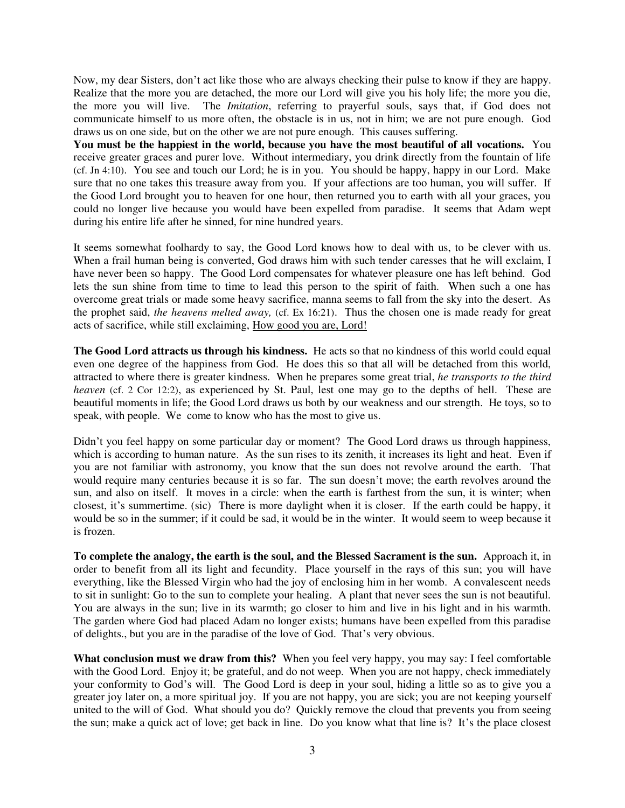Now, my dear Sisters, don't act like those who are always checking their pulse to know if they are happy. Realize that the more you are detached, the more our Lord will give you his holy life; the more you die, the more you will live. The *Imitation*, referring to prayerful souls, says that, if God does not communicate himself to us more often, the obstacle is in us, not in him; we are not pure enough. God draws us on one side, but on the other we are not pure enough. This causes suffering.

**You must be the happiest in the world, because you have the most beautiful of all vocations.** You receive greater graces and purer love. Without intermediary, you drink directly from the fountain of life (cf. Jn 4:10). You see and touch our Lord; he is in you. You should be happy, happy in our Lord. Make sure that no one takes this treasure away from you. If your affections are too human, you will suffer. If the Good Lord brought you to heaven for one hour, then returned you to earth with all your graces, you could no longer live because you would have been expelled from paradise. It seems that Adam wept during his entire life after he sinned, for nine hundred years.

It seems somewhat foolhardy to say, the Good Lord knows how to deal with us, to be clever with us. When a frail human being is converted, God draws him with such tender caresses that he will exclaim, I have never been so happy. The Good Lord compensates for whatever pleasure one has left behind. God lets the sun shine from time to time to lead this person to the spirit of faith. When such a one has overcome great trials or made some heavy sacrifice, manna seems to fall from the sky into the desert. As the prophet said, *the heavens melted away,* (cf. Ex 16:21). Thus the chosen one is made ready for great acts of sacrifice, while still exclaiming, How good you are, Lord!

**The Good Lord attracts us through his kindness.** He acts so that no kindness of this world could equal even one degree of the happiness from God. He does this so that all will be detached from this world, attracted to where there is greater kindness. When he prepares some great trial, *he transports to the third heaven* (cf. 2 Cor 12:2), as experienced by St. Paul, lest one may go to the depths of hell. These are beautiful moments in life; the Good Lord draws us both by our weakness and our strength. He toys, so to speak, with people. We come to know who has the most to give us.

Didn't you feel happy on some particular day or moment? The Good Lord draws us through happiness, which is according to human nature. As the sun rises to its zenith, it increases its light and heat. Even if you are not familiar with astronomy, you know that the sun does not revolve around the earth. That would require many centuries because it is so far. The sun doesn't move; the earth revolves around the sun, and also on itself. It moves in a circle: when the earth is farthest from the sun, it is winter; when closest, it's summertime. (sic) There is more daylight when it is closer. If the earth could be happy, it would be so in the summer; if it could be sad, it would be in the winter. It would seem to weep because it is frozen.

**To complete the analogy, the earth is the soul, and the Blessed Sacrament is the sun.** Approach it, in order to benefit from all its light and fecundity. Place yourself in the rays of this sun; you will have everything, like the Blessed Virgin who had the joy of enclosing him in her womb. A convalescent needs to sit in sunlight: Go to the sun to complete your healing. A plant that never sees the sun is not beautiful. You are always in the sun; live in its warmth; go closer to him and live in his light and in his warmth. The garden where God had placed Adam no longer exists; humans have been expelled from this paradise of delights., but you are in the paradise of the love of God. That's very obvious.

**What conclusion must we draw from this?** When you feel very happy, you may say: I feel comfortable with the Good Lord. Enjoy it; be grateful, and do not weep. When you are not happy, check immediately your conformity to God's will. The Good Lord is deep in your soul, hiding a little so as to give you a greater joy later on, a more spiritual joy. If you are not happy, you are sick; you are not keeping yourself united to the will of God. What should you do? Quickly remove the cloud that prevents you from seeing the sun; make a quick act of love; get back in line. Do you know what that line is? It's the place closest